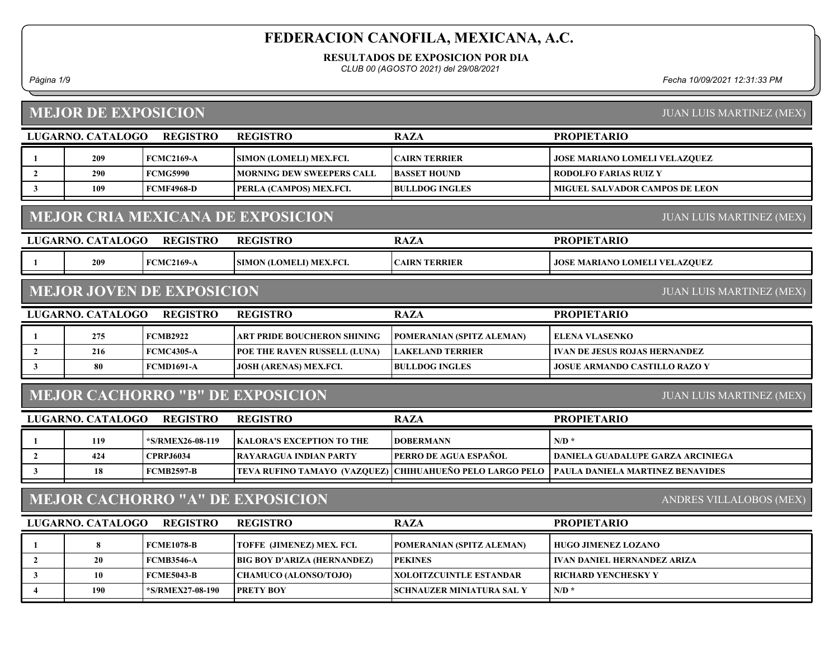RESULTADOS DE EXPOSICION POR DIA

CLUB 00 (AGOSTO 2021) del 29/08/2021

Página 1/9 Fecha 10/09/2021 12:31:33 PM

|                | <b>MEJOR DE EXPOSICION</b>                                                  |                                  | <b>JUAN LUIS MARTINEZ (MEX)</b>         |                                                          |                                         |  |  |  |  |
|----------------|-----------------------------------------------------------------------------|----------------------------------|-----------------------------------------|----------------------------------------------------------|-----------------------------------------|--|--|--|--|
|                | LUGARNO. CATALOGO                                                           | <b>REGISTRO</b>                  | <b>REGISTRO</b>                         | <b>RAZA</b>                                              | <b>PROPIETARIO</b>                      |  |  |  |  |
| 1              | 209                                                                         | <b>FCMC2169-A</b>                | SIMON (LOMELI) MEX.FCI.                 | <b>CAIRN TERRIER</b>                                     | <b>JOSE MARIANO LOMELI VELAZQUEZ</b>    |  |  |  |  |
| $\mathbf{2}$   | 290                                                                         | <b>FCMG5990</b>                  | <b>MORNING DEW SWEEPERS CALL</b>        | <b>BASSET HOUND</b>                                      | <b>RODOLFO FARIAS RUIZ Y</b>            |  |  |  |  |
| $\mathbf{3}$   | 109                                                                         | <b>FCMF4968-D</b>                | PERLA (CAMPOS) MEX.FCI.                 | <b>BULLDOG INGLES</b>                                    | <b>MIGUEL SALVADOR CAMPOS DE LEON</b>   |  |  |  |  |
|                | <b>MEJOR CRIA MEXICANA DE EXPOSICION</b><br><b>JUAN LUIS MARTINEZ (MEX)</b> |                                  |                                         |                                                          |                                         |  |  |  |  |
|                | LUGARNO. CATALOGO                                                           | <b>REGISTRO</b>                  | <b>REGISTRO</b>                         | <b>RAZA</b>                                              | <b>PROPIETARIO</b>                      |  |  |  |  |
| 1              | 209                                                                         | <b>FCMC2169-A</b>                | SIMON (LOMELI) MEX.FCI.                 | <b>CAIRN TERRIER</b>                                     | <b>JOSE MARIANO LOMELI VELAZQUEZ</b>    |  |  |  |  |
|                |                                                                             | <b>MEJOR JOVEN DE EXPOSICION</b> |                                         |                                                          | <b>JUAN LUIS MARTINEZ (MEX)</b>         |  |  |  |  |
|                | LUGARNO. CATALOGO                                                           | <b>REGISTRO</b>                  | <b>REGISTRO</b>                         | <b>RAZA</b>                                              | <b>PROPIETARIO</b>                      |  |  |  |  |
| $\mathbf{1}$   | 275                                                                         | <b>FCMB2922</b>                  | ART PRIDE BOUCHERON SHINING             | POMERANIAN (SPITZ ALEMAN)                                | <b>ELENA VLASENKO</b>                   |  |  |  |  |
| $\overline{2}$ | 216                                                                         | <b>FCMC4305-A</b>                | POE THE RAVEN RUSSELL (LUNA)            | <b>LAKELAND TERRIER</b>                                  | <b>IVAN DE JESUS ROJAS HERNANDEZ</b>    |  |  |  |  |
| $\mathbf{3}$   | 80                                                                          | <b>FCMD1691-A</b>                | <b>JOSH (ARENAS) MEX.FCI.</b>           | <b>BULLDOG INGLES</b>                                    | <b>JOSUE ARMANDO CASTILLO RAZO Y</b>    |  |  |  |  |
|                |                                                                             |                                  | <b>MEJOR CACHORRO "B" DE EXPOSICION</b> |                                                          | <b>JUAN LUIS MARTINEZ (MEX)</b>         |  |  |  |  |
|                | LUGARNO. CATALOGO                                                           | <b>REGISTRO</b>                  | <b>REGISTRO</b>                         | <b>RAZA</b>                                              | <b>PROPIETARIO</b>                      |  |  |  |  |
| $\mathbf{1}$   | 119                                                                         | *S/RMEX26-08-119                 | <b>KALORA'S EXCEPTION TO THE</b>        | <b>DOBERMANN</b>                                         | $N/D$ *                                 |  |  |  |  |
| $\overline{2}$ | 424                                                                         | <b>CPRPJ6034</b>                 | <b>RAYARAGUA INDIAN PARTY</b>           | PERRO DE AGUA ESPAÑOL                                    | DANIELA GUADALUPE GARZA ARCINIEGA       |  |  |  |  |
| 3              | 18                                                                          | <b>FCMB2597-B</b>                |                                         | TEVA RUFINO TAMAYO (VAZQUEZ) CHIHUAHUEÑO PELO LARGO PELO | <b>PAULA DANIELA MARTINEZ BENAVIDES</b> |  |  |  |  |
|                |                                                                             |                                  | <b>MEJOR CACHORRO "A" DE EXPOSICION</b> |                                                          | ANDRES VILLALOBOS (MEX)                 |  |  |  |  |
|                | LUGARNO. CATALOGO                                                           | <b>REGISTRO</b>                  | <b>REGISTRO</b>                         | <b>RAZA</b>                                              | <b>PROPIETARIO</b>                      |  |  |  |  |
| 1              | 8                                                                           | <b>FCME1078-B</b>                | TOFFE (JIMENEZ) MEX. FCI.               | POMERANIAN (SPITZ ALEMAN)                                | <b>HUGO JIMENEZ LOZANO</b>              |  |  |  |  |
| $\overline{2}$ | 20                                                                          | <b>FCMB3546-A</b>                | <b>BIG BOY D'ARIZA (HERNANDEZ)</b>      | <b>PEKINES</b>                                           | <b>IVAN DANIEL HERNANDEZ ARIZA</b>      |  |  |  |  |
| $\mathbf{3}$   | 10                                                                          | <b>FCME5043-B</b>                | <b>CHAMUCO (ALONSO/TOJO)</b>            | <b>XOLOITZCUINTLE ESTANDAR</b>                           | <b>RICHARD YENCHESKY Y</b>              |  |  |  |  |
| $\overline{4}$ | 190                                                                         | *S/RMEX27-08-190                 | <b>PRETY BOY</b>                        | <b>SCHNAUZER MINIATURA SAL Y</b>                         | $N/D$ *                                 |  |  |  |  |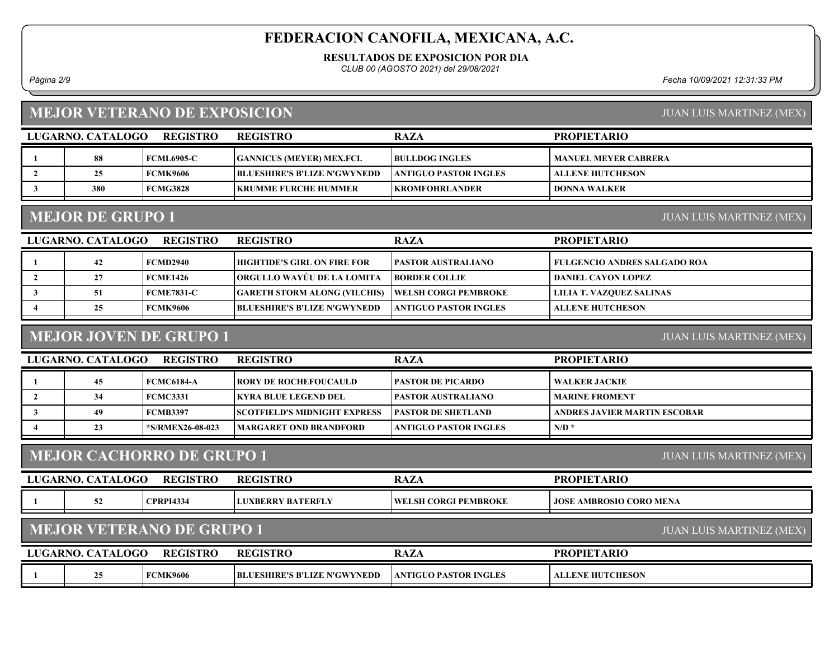RESULTADOS DE EXPOSICION POR DIA

CLUB 00 (AGOSTO 2021) del 29/08/2021

Página 2/9 Fecha 10/09/2021 12:31:33 PM

#### MEJOR VETERANO DE EXPOSICION

| LUGARNO, CATALOGO | <b>REGISTRO</b>   | <b>REGISTRO</b>                     | <b>RAZA</b>            | <b>PROPIETARIO</b>          |
|-------------------|-------------------|-------------------------------------|------------------------|-----------------------------|
| 88                | <b>FCML6905-C</b> | <b>GANNICUS (MEYER) MEX.FCI.</b>    | <b>BULLDOG INGLES</b>  | <b>MANUEL MEYER CABRERA</b> |
|                   | <b>FCMK9606</b>   | <b>BLUESHIRE'S B'LIZE N'GWYNEDD</b> | ANTIGUO PASTOR INGLES_ | <b>ALLENE HUTCHESON</b>     |
| 380               | <b>FCMG3828</b>   | <b>IKRUMME FURCHE HUMMER</b>        | KROMFOHRLANDER_        | I DONNA WALKER              |

## MEJOR DE GRUPO 1

JUAN LUIS MARTINEZ (MEX)

| LUGARNO. CATALOGO | <b>REGISTRO</b>   | <b>REGISTRO</b>                     | <b>RAZA</b>                  | <b>PROPIETARIO</b>                  |
|-------------------|-------------------|-------------------------------------|------------------------------|-------------------------------------|
| 42                | FCMD2940          | HIGHTIDE'S GIRL ON FIRE FOR         | <b> PASTOR AUSTRALIANO_</b>  | <b>FULGENCIO ANDRES SALGADO ROA</b> |
|                   | <b>FCME1426</b>   | ORGULLO WAYUU DE LA LOMITA          | <b>BORDER COLLIE</b>         | DANIEL CAYON LOPEZ                  |
|                   | <b>FCME7831-C</b> | <b>GARETH STORM ALONG (VILCHIS)</b> | <b>TWELSH CORGI PEMBROKE</b> | LILIA T. VAZQUEZ SALINAS            |
| 25                | <b>FCMK9606</b>   | <b>BLUESHIRE'S B'LIZE N'GWYNEDD</b> | ANTIGUO PASTOR INGLES        | <b>ALLENE HUTCHESON</b>             |

## MEJOR JOVEN DE GRUPO 1

JUAN LUIS MARTINEZ (MEX)

| LUGARNO, CATALOGO | <b>REGISTRO</b>  | <b>REGISTRO</b>                      | <b>RAZA</b>                   | <b>PROPIETARIO</b>           |
|-------------------|------------------|--------------------------------------|-------------------------------|------------------------------|
|                   | FCMC6184-A       | <b>TRORY DE ROCHEFOUCAULD</b>        | <b>PASTOR DE PICARDO</b>      | WALKER JACKIE                |
| 34                | FCMC3331         | IKYRA BLUE LEGEND DEL.               | <b>IPASTOR AUSTRALIANO</b>    | <b>MARINE FROMENT</b>        |
| 49                | FCMB3397         | <b>ISCOTFIELD'S MIDNIGHT EXPRESS</b> | <b>IPASTOR DE SHETLAND</b>    | ANDRES JAVIER MARTIN ESCOBAR |
| 23                | *S/RMEX26-08-023 | <b>IMARGARET OND BRANDFORD</b>       | <b>LANTIGUO PASTOR INGLES</b> | $N/D$ *                      |

#### MEJOR CACHORRO DE GRUPO 1

JUAN LUIS MARTINEZ (MEX)

JUAN LUIS MARTINEZ (MEX)

| UG. | OGO<br>ARNC<br>$\bf TAT$ | <b>REGISTRO</b>  | <b>REGISTRO</b>             | $\sim$<br>$\bm{A} \bm{L} \bm{P}$             | <b>OPIET</b><br><b>DD</b><br>ARIO<br>'N            |
|-----|--------------------------|------------------|-----------------------------|----------------------------------------------|----------------------------------------------------|
|     | - -                      | <b>CPRPI4334</b> | 7 BATERFLY<br><b>XBERRY</b> | WF<br><b>FEMBROKE</b><br><b>CORGI</b><br>.SH | <b>JOSE</b><br><b>CORO MENA</b><br><b>AMBROSIO</b> |
|     |                          |                  |                             |                                              |                                                    |

## MEJOR VETERANO DE GRUPO 1

|                                                                                                                                          | <b>LUGARNO.</b> |
|------------------------------------------------------------------------------------------------------------------------------------------|-----------------|
| <b>FCMK9606</b><br>E N'GWYNEDD<br><b>ANTIGUO PASTOR INGLES</b><br><b>ALLENE HUTCHESON</b><br>$\sim$<br><b>BLUESHIRE'S</b><br>'S B'LIZE I |                 |

JUAN LUIS MARTINEZ (MEX)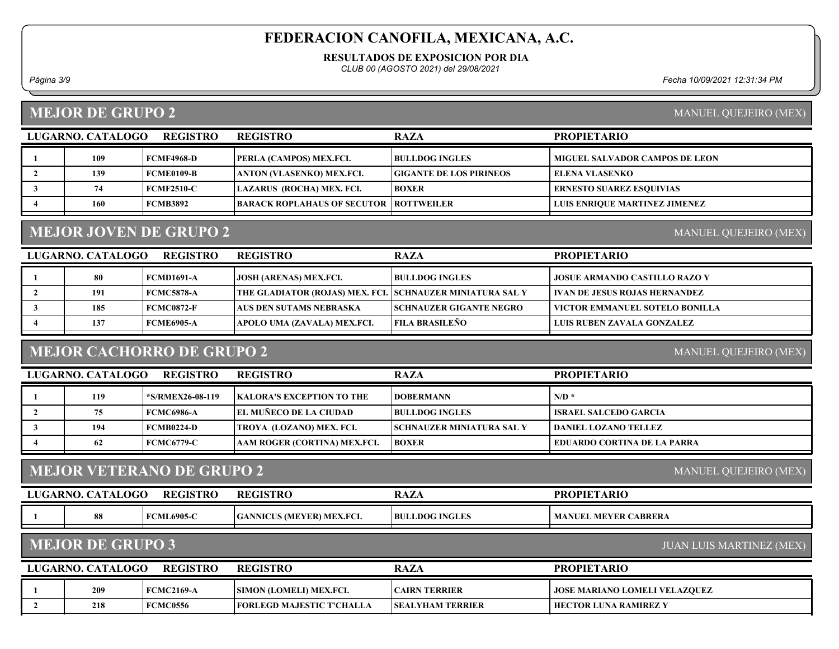RESULTADOS DE EXPOSICION POR DIA

CLUB 00 (AGOSTO 2021) del 29/08/2021

Página 3/9 Fecha 10/09/2021 12:31:34 PM

#### MEJOR DE GRUPO 2

MANUEL QUEJEIRO (MEX)

MANUEL QUEJEIRO (MEX)

| LUGARNO. CATALOGO | <b>REGISTRO</b>   | <b>REGISTRO</b>                          | <b>RAZA</b>                    | <b>PROPIETARIO</b>                    |
|-------------------|-------------------|------------------------------------------|--------------------------------|---------------------------------------|
| 109               | <b>FCMF4968-D</b> | <b>PERLA (CAMPOS) MEX.FCI.</b>           | <b>BULLDOG INGLES</b>          | <b>MIGUEL SALVADOR CAMPOS DE LEON</b> |
| 139               | <b>FCME0109-B</b> | ANTON (VLASENKO) MEX.FCI.                | <b>GIGANTE DE LOS PIRINEOS</b> | <b>ELENA VLASENKO</b>                 |
| 74                | <b>FCMF2510-C</b> | LAZARUS (ROCHA) MEX. FCI.                | <b>BOXER</b>                   | ERNESTO SUAREZ ESOUIVIAS              |
| 160               | <b>FCMB3892</b>   | BARACK ROPLAHAUS OF SECUTOR   ROTTWEILER |                                | <b>LUIS ENRIQUE MARTINEZ JIMENEZ</b>  |

## MEJOR JOVEN DE GRUPO 2

LUGARNO. CATALOGO REGISTRO RAZA PROPIETARIO REGISTRO 1 80 FCMD1691-A JOSH (ARENAS) MEX.FCI. BULLDOG INGLES JOSUE ARMANDO CASTILLO RAZO Y 2 191 FCMC5878-A THE GLADIATOR (ROJAS) MEX. FCI. SCHNAUZER MINIATURA SAL Y VAN DE JESUS ROJAS HERNANDEZ 3 185 FCMC0872-F AUS DEN SUTAMS NEBRASKA SCHNAUZER GIGANTE NEGRO VICTOR EMMANUEL SOTELO BONILLA 4 | 137 FCME6905-A | APOLO UMA (ZAVALA) MEX.FCI. | FILA BRASILEÑO | LUIS RUBEN ZAVALA GONZALEZ

#### MEJOR CACHORRO DE GRUPO 2

MANUEL QUEJEIRO (MEX)

| <b>REGISTRO</b><br>LUGARNO. CATALOGO |     |                        | <b>REGISTRO</b>                   | <b>RAZA</b>               | <b>PROPIETARIO</b>                 |
|--------------------------------------|-----|------------------------|-----------------------------------|---------------------------|------------------------------------|
|                                      | 119 | <b>S/RMEX26-08-119</b> | <b>IKALORA'S EXCEPTION TO THE</b> | <b>IDOBERMANN</b>         | $N/D$ *                            |
|                                      | 75  | FCMC6986-A             | <b>EL MUÑECO DE LA CIUDAD</b>     | <b>BULLDOG INGLES</b>     | ISRAEL SALCEDO GARCIA              |
|                                      | 194 | FCMB0224-D             | <b>TROYA (LOZANO) MEX. FCI.</b>   | SCHNAUZER MINIATURA SAL Y | DANIEL LOZANO TELLEZ-              |
|                                      | 62  | <b>FCMC6779-C</b>      | AAM ROGER (CORTINA) MEX.FCI.      | <b>BOXER</b>              | <b>EDUARDO CORTINA DE LA PARRA</b> |

#### MEJOR VETERANO DE GRUPO 2

| <b>LUGARNO.</b> | . CATALOGO | <b>REGISTRO</b>   | <b>REGISTRO</b>                  | RAZ                   | <b>PROPIETARIO</b>                        |
|-----------------|------------|-------------------|----------------------------------|-----------------------|-------------------------------------------|
|                 |            | <b>FCML6905-C</b> | <b>GANNICUS (MEYER) MEX.FCI.</b> | <b>BULLDOG INGLES</b> | <b>L MEYER CABRERA</b><br><b>MANUEL</b> . |

#### MEJOR DE GRUPO 3

JUAN LUIS MARTINEZ (MEX)

MANUEL QUEJEIRO (MEX)

| <b>REGISTRO</b><br>LUGARNO. CATALOGO |     |                 | <b>REGISTRO</b>                   | <b>RAZA</b>             | <b>PROPIETARIO</b>                   |
|--------------------------------------|-----|-----------------|-----------------------------------|-------------------------|--------------------------------------|
|                                      | 209 | FCMC2169-A      | <b>SIMON (LOMELI) MEX.FCI.</b>    | <b>ICAIRN TERRIER</b>   | <b>JOSE MARIANO LOMELI VELAZQUEZ</b> |
|                                      | 218 | <b>FCMC0556</b> | <b>TEORLEGD MAJESTIC T'CHALLA</b> | <b>SEALYHAM TERRIER</b> | <b>HECTOR LUNA RAMIREZ Y</b>         |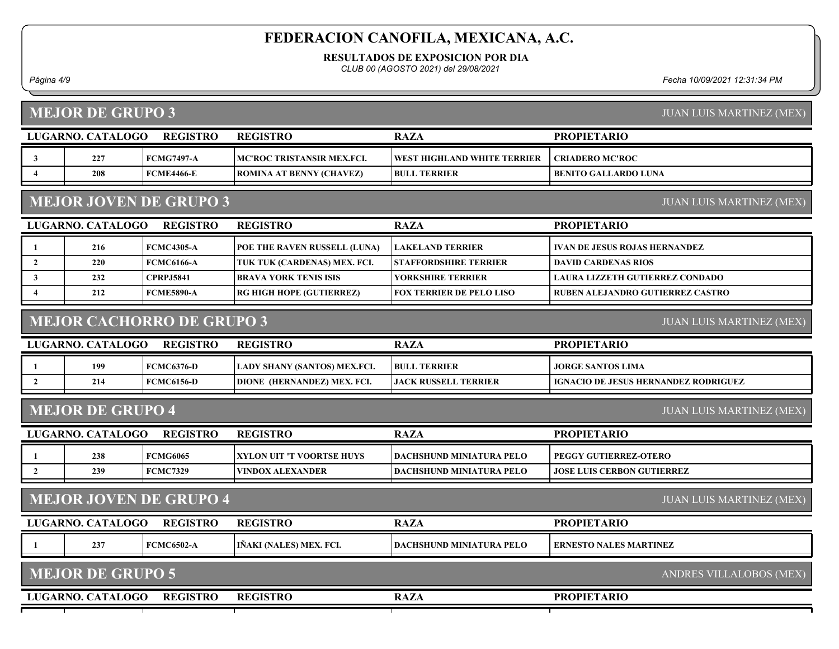RESULTADOS DE EXPOSICION POR DIA

CLUB 00 (AGOSTO 2021) del 29/08/2021

Página 4/9 Fecha 10/09/2021 12:31:34 PM

|                         | <b>MEJOR DE GRUPO 3</b>                                          |                                  |                              |                                 | <b>JUAN LUIS MARTINEZ (MEX)</b>             |  |  |  |
|-------------------------|------------------------------------------------------------------|----------------------------------|------------------------------|---------------------------------|---------------------------------------------|--|--|--|
|                         | LUGARNO. CATALOGO                                                | <b>REGISTRO</b>                  | <b>REGISTRO</b>              | <b>RAZA</b>                     | <b>PROPIETARIO</b>                          |  |  |  |
| $\mathbf{3}$            | 227                                                              | <b>FCMG7497-A</b>                | MC'ROC TRISTANSIR MEX.FCI.   | WEST HIGHLAND WHITE TERRIER     | <b>CRIADERO MC'ROC</b>                      |  |  |  |
| $\overline{\mathbf{4}}$ | 208                                                              | <b>FCME4466-E</b>                | ROMINA AT BENNY (CHAVEZ)     | <b>BULL TERRIER</b>             | <b>BENITO GALLARDO LUNA</b>                 |  |  |  |
|                         | <b>MEJOR JOVEN DE GRUPO 3</b><br><b>JUAN LUIS MARTINEZ (MEX)</b> |                                  |                              |                                 |                                             |  |  |  |
|                         | LUGARNO. CATALOGO                                                | <b>REGISTRO</b>                  | <b>REGISTRO</b>              | <b>RAZA</b>                     | <b>PROPIETARIO</b>                          |  |  |  |
|                         | 216                                                              | <b>FCMC4305-A</b>                | POE THE RAVEN RUSSELL (LUNA) | <b>LAKELAND TERRIER</b>         | <b>IVAN DE JESUS ROJAS HERNANDEZ</b>        |  |  |  |
| $\overline{2}$          | 220                                                              | <b>FCMC6166-A</b>                | TUK TUK (CARDENAS) MEX. FCI. | <b>STAFFORDSHIRE TERRIER</b>    | <b>DAVID CARDENAS RIOS</b>                  |  |  |  |
| $\mathbf{3}$            | 232                                                              | <b>CPRPJ5841</b>                 | <b>BRAVA YORK TENIS ISIS</b> | <b>YORKSHIRE TERRIER</b>        | <b>LAURA LIZZETH GUTIERREZ CONDADO</b>      |  |  |  |
| 4                       | 212                                                              | <b>FCME5890-A</b>                | RG HIGH HOPE (GUTIERREZ)     | <b>FOX TERRIER DE PELO LISO</b> | RUBEN ALEJANDRO GUTIERREZ CASTRO            |  |  |  |
|                         |                                                                  | <b>MEJOR CACHORRO DE GRUPO 3</b> |                              |                                 | <b>JUAN LUIS MARTINEZ (MEX)</b>             |  |  |  |
|                         | LUGARNO. CATALOGO                                                | <b>REGISTRO</b>                  | <b>REGISTRO</b>              | <b>RAZA</b>                     | <b>PROPIETARIO</b>                          |  |  |  |
| 1                       | 199                                                              | <b>FCMC6376-D</b>                | LADY SHANY (SANTOS) MEX.FCI. | <b>BULL TERRIER</b>             | <b>JORGE SANTOS LIMA</b>                    |  |  |  |
| $\mathbf{2}$            | 214                                                              | <b>FCMC6156-D</b>                | DIONE (HERNANDEZ) MEX. FCI.  | <b>JACK RUSSELL TERRIER</b>     | <b>IGNACIO DE JESUS HERNANDEZ RODRIGUEZ</b> |  |  |  |
|                         | <b>MEJOR DE GRUPO 4</b>                                          |                                  |                              |                                 | <b>JUAN LUIS MARTINEZ (MEX)</b>             |  |  |  |
|                         | LUGARNO. CATALOGO                                                | <b>REGISTRO</b>                  | <b>REGISTRO</b>              | <b>RAZA</b>                     | <b>PROPIETARIO</b>                          |  |  |  |
| 1                       | 238                                                              | <b>FCMG6065</b>                  | XYLON UIT 'T VOORTSE HUYS    | <b>DACHSHUND MINIATURA PELO</b> | PEGGY GUTIERREZ-OTERO                       |  |  |  |
| $\overline{2}$          | 239                                                              | <b>FCMC7329</b>                  | VINDOX ALEXANDER             | <b>DACHSHUND MINIATURA PELO</b> | <b>JOSE LUIS CERBON GUTIERREZ</b>           |  |  |  |
|                         |                                                                  | <b>MEJOR JOVEN DE GRUPO 4</b>    |                              |                                 | <b>JUAN LUIS MARTINEZ (MEX)</b>             |  |  |  |
|                         | LUGARNO. CATALOGO                                                | <b>REGISTRO</b>                  | <b>REGISTRO</b>              | <b>RAZA</b>                     | <b>PROPIETARIO</b>                          |  |  |  |
|                         | 237                                                              | <b>FCMC6502-A</b>                | IÑAKI (NALES) MEX. FCI.      | <b>DACHSHUND MINIATURA PELO</b> | <b>ERNESTO NALES MARTINEZ</b>               |  |  |  |
|                         | <b>MEJOR DE GRUPO 5</b>                                          |                                  |                              |                                 | ANDRES VILLALOBOS (MEX)                     |  |  |  |
|                         | LUGARNO. CATALOGO                                                | <b>REGISTRO</b>                  | <b>REGISTRO</b>              | <b>RAZA</b>                     | <b>PROPIETARIO</b>                          |  |  |  |
|                         |                                                                  |                                  |                              |                                 |                                             |  |  |  |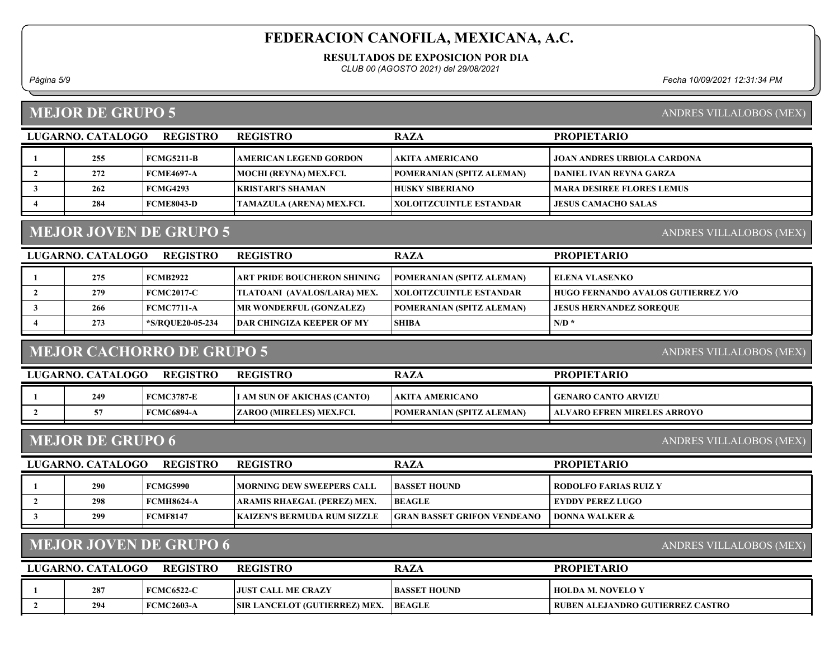RESULTADOS DE EXPOSICION POR DIA

CLUB 00 (AGOSTO 2021) del 29/08/2021

Página 5/9 Fecha 10/09/2021 12:31:34 PM

#### MEJOR DE GRUPO 5

| <b>REGISTRO</b><br>LUGARNO. CATALOGO |     |                   | <b>REGISTRO</b>               | <b>RAZA</b>                      | <b>PROPIETARIO</b>                 |
|--------------------------------------|-----|-------------------|-------------------------------|----------------------------------|------------------------------------|
|                                      | 255 | FCMG5211-B        | <b>AMERICAN LEGEND GORDON</b> | AKITA AMERICANO                  | <b>JOAN ANDRES URBIOLA CARDONA</b> |
|                                      | 272 | <b>FCME4697-A</b> | MOCHI (REYNA) MEX.FCI.        | <b>POMERANIAN (SPITZ ALEMAN)</b> | <b>SDANIEL IVAN REYNA GARZA</b>    |
|                                      | 262 | <b>FCMG4293</b>   | KRISTARI'S SHAMAN             | <b>HUSKY SIBERIANO</b>           | <b>MARA DESIREE FLORES LEMUS</b>   |
|                                      | 284 | <b>FCME8043-D</b> | TAMAZULA (ARENA) MEX.FCI.     | <b>IXOLOITZCUINTLE ESTANDAR</b>  | <b>JESUS CAMACHO SALAS</b>         |

#### MEJOR JOVEN DE GRUPO 5

LUGARNO. CATALOGO REGISTRO RAZA PROPIETARIO REGISTRO 1 275 FCMB2922 ART PRIDE BOUCHERON SHINING POMERANIAN (SPITZ ALEMAN) ELENA VLASENKO 2 279 FCMC2017-C TLATOANI (AVALOS/LARA) MEX. XOLOITZCUINTLE ESTANDAR HUGO FERNANDO AVALOS GUTIERREZ Y/O 3 266 FCMC7711-A MR WONDERFUL (GONZALEZ) POMERANIAN (SPITZ ALEMAN) JESUS HERNANDEZ SOREQUE 4  $\vert$  273  $\vert$  \*S/RQUE20-05-234 DAR CHINGIZA KEEPER OF MY SHIBA N/D \*  $\vert$  N/D \*

#### MEJOR CACHORRO DE GRUPO 5

ANDRES VILLALOBOS (MEX)

| LUGARNO. CATALOGO | <b>REGISTRO</b> | <b>REGISTRO</b>             | <b>RAZA</b>                      | <b>PROPIETARIO</b>            |
|-------------------|-----------------|-----------------------------|----------------------------------|-------------------------------|
| 249               | FCMC3787-E      | I AM SUN OF AKICHAS (CANTO) | <b>LAKITA AMERICANO</b>          | GENARO CANTO ARVIZU           |
|                   | FCMC6894-A      | ZAROO (MIRELES) MEX.FCI.    | <b>POMERANIAN (SPITZ ALEMAN)</b> | LALVARO EFREN MIRELES ARROYO- |

#### MEJOR DE GRUPO 6

ANDRES VILLALOBOS (MEX)

| <b>REGISTRO</b><br>LUGARNO. CATALOGO |     |                   | <b>REGISTRO</b>                     | <b>RAZA</b>                        | <b>PROPIETARIO</b>      |
|--------------------------------------|-----|-------------------|-------------------------------------|------------------------------------|-------------------------|
|                                      | 290 | FCMG5990          | <b>IMORNING DEW SWEEPERS CALL</b>   | <b>BASSET HOUND</b>                | RODOLFO FARIAS RUIZ Y   |
|                                      | 298 | <b>FCMH8624-A</b> | ARAMIS RHAEGAL (PEREZ) MEX.         | <b>BEAGLE</b>                      | <b>EYDDY PEREZ LUGO</b> |
|                                      | 299 | <b>FCMF8147</b>   | <b>IKAIZEN'S BERMUDA RUM SIZZLE</b> | <b>GRAN BASSET GRIFON VENDEANO</b> | DONNA WALKER &          |
|                                      |     |                   |                                     |                                    |                         |

## MEJOR JOVEN DE GRUPO 6

ANDRES VILLALOBOS (MEX)

| LUGARNO. CATALOGO | <b>REGISTRO</b> | <b>REGISTRO</b>                      | <b>RAZA</b>         | <b>PROPIETARIO</b>                        |
|-------------------|-----------------|--------------------------------------|---------------------|-------------------------------------------|
| 287               | FCMC6522-C      | <b>LIUST CALL ME CRAZY</b>           | <b>BASSET HOUND</b> | HOLDA M. NOVELO Y                         |
| 294               | FCMC2603-A      | <b>SIR LANCELOT (GUTIERREZ) MEX.</b> | <b>BEAGLE</b>       | <b>I RUBEN ALEJANDRO GUTIERREZ CASTRO</b> |

## ANDRES VILLALOBOS (MEX)

ANDRES VILLALOBOS (MEX)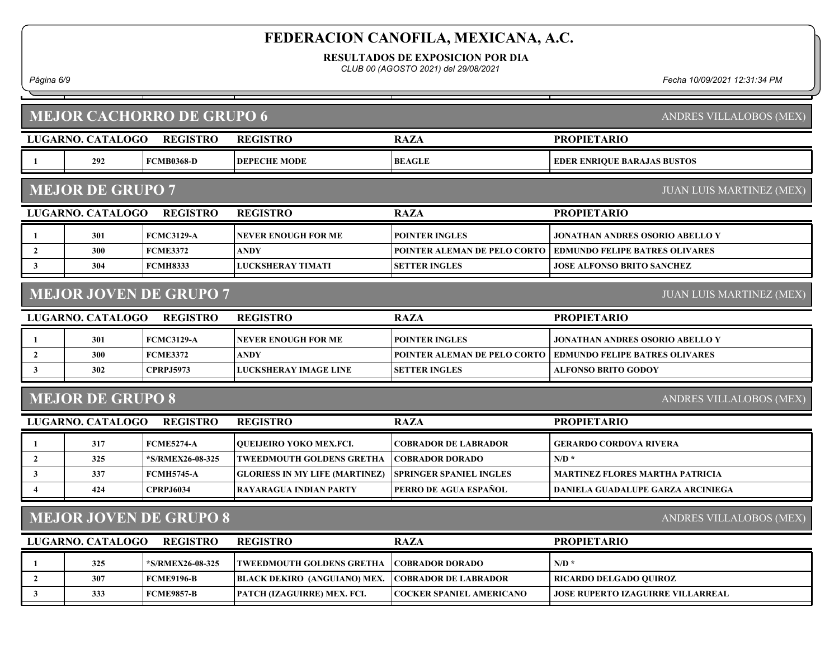RESULTADOS DE EXPOSICION POR DIA

CLUB 00 (AGOSTO 2021) del 29/08/2021

Página 6/9 Fecha 10/09/2021 12:31:34 PM

| <b>REGISTRO</b><br><b>PROPIETARIO</b><br>LUGARNO. CATALOGO<br><b>REGISTRO</b><br><b>RAZA</b><br>292<br><b>FCMB0368-D</b><br><b>DEPECHE MODE</b><br><b>BEAGLE</b><br><b>EDER ENRIQUE BARAJAS BUSTOS</b><br>$\mathbf{1}$<br><b>MEJOR DE GRUPO 7</b><br><b>JUAN LUIS MARTINEZ (MEX)</b><br><b>LUGARNO. CATALOGO</b><br><b>REGISTRO</b><br><b>REGISTRO</b><br><b>PROPIETARIO</b><br><b>RAZA</b><br>301<br><b>FCMC3129-A</b><br><b>NEVER ENOUGH FOR ME</b><br><b>POINTER INGLES</b><br>JONATHAN ANDRES OSORIO ABELLO Y<br>$\mathbf{1}$<br>300<br><b>FCME3372</b><br><b>ANDY</b><br>POINTER ALEMAN DE PELO CORTO<br><b>EDMUNDO FELIPE BATRES OLIVARES</b><br>$\mathbf{2}$<br>304<br><b>LUCKSHERAY TIMATI</b><br>$\mathbf{3}$<br><b>FCMH8333</b><br><b>SETTER INGLES</b><br><b>JOSE ALFONSO BRITO SANCHEZ</b><br><b>MEJOR JOVEN DE GRUPO 7</b><br><b>JUAN LUIS MARTINEZ (MEX)</b><br>LUGARNO. CATALOGO<br><b>REGISTRO</b><br><b>REGISTRO</b><br><b>PROPIETARIO</b><br><b>RAZA</b><br>301<br><b>FCMC3129-A</b><br><b>POINTER INGLES</b><br><b>NEVER ENOUGH FOR ME</b><br>JONATHAN ANDRES OSORIO ABELLO Y<br>1<br>300<br><b>FCME3372</b><br><b>ANDY</b><br>$\overline{2}$<br>POINTER ALEMAN DE PELO CORTO<br><b>EDMUNDO FELIPE BATRES OLIVARES</b><br>302<br>$\mathbf{3}$<br><b>CPRPJ5973</b><br>LUCKSHERAY IMAGE LINE<br><b>SETTER INGLES</b><br><b>ALFONSO BRITO GODOY</b><br><b>MEJOR DE GRUPO 8</b><br>ANDRES VILLALOBOS (MEX)<br>LUGARNO. CATALOGO<br><b>REGISTRO</b><br><b>RAZA</b><br><b>REGISTRO</b><br><b>PROPIETARIO</b><br>317<br><b>FCME5274-A</b><br><b>OUEIJEIRO YOKO MEX.FCI.</b><br><b>COBRADOR DE LABRADOR</b><br><b>GERARDO CORDOVA RIVERA</b><br>1<br>325<br>*S/RMEX26-08-325<br><b>COBRADOR DORADO</b><br>$N/D$ *<br>$\overline{2}$<br><b>TWEEDMOUTH GOLDENS GRETHA</b><br>337<br><b>FCMH5745-A</b><br><b>SPRINGER SPANIEL INGLES</b><br><b>MARTINEZ FLORES MARTHA PATRICIA</b><br>$\mathbf{3}$<br><b>GLORIESS IN MY LIFE (MARTINEZ)</b><br>PERRO DE AGUA ESPAÑOL<br>424<br><b>CPRPJ6034</b><br><b>RAYARAGUA INDIAN PARTY</b><br><b>DANIELA GUADALUPE GARZA ARCINIEGA</b><br><b>MEJOR JOVEN DE GRUPO 8</b><br>ANDRES VILLALOBOS (MEX)<br>LUGARNO. CATALOGO<br><b>REGISTRO</b><br><b>REGISTRO</b><br><b>PROPIETARIO</b><br><b>RAZA</b><br>$N/D$ *<br>325<br>*S/RMEX26-08-325<br><b>COBRADOR DORADO</b><br><b>TWEEDMOUTH GOLDENS GRETHA</b><br>1<br>307<br><b>FCME9196-B</b><br><b>BLACK DEKIRO (ANGUIANO) MEX.</b><br><b>COBRADOR DE LABRADOR</b><br>RICARDO DELGADO QUIROZ<br>$\mathbf{2}$ | <b>MEJOR CACHORRO DE GRUPO 6</b> |     |                   |                             |                                 | ANDRES VILLALOBOS (MEX)                  |
|-------------------------------------------------------------------------------------------------------------------------------------------------------------------------------------------------------------------------------------------------------------------------------------------------------------------------------------------------------------------------------------------------------------------------------------------------------------------------------------------------------------------------------------------------------------------------------------------------------------------------------------------------------------------------------------------------------------------------------------------------------------------------------------------------------------------------------------------------------------------------------------------------------------------------------------------------------------------------------------------------------------------------------------------------------------------------------------------------------------------------------------------------------------------------------------------------------------------------------------------------------------------------------------------------------------------------------------------------------------------------------------------------------------------------------------------------------------------------------------------------------------------------------------------------------------------------------------------------------------------------------------------------------------------------------------------------------------------------------------------------------------------------------------------------------------------------------------------------------------------------------------------------------------------------------------------------------------------------------------------------------------------------------------------------------------------------------------------------------------------------------------------------------------------------------------------------------------------------------------------------------------------------------------------------------------------------------------------------------------------------------------------------------------------------------------------------------------------------------------------------------|----------------------------------|-----|-------------------|-----------------------------|---------------------------------|------------------------------------------|
|                                                                                                                                                                                                                                                                                                                                                                                                                                                                                                                                                                                                                                                                                                                                                                                                                                                                                                                                                                                                                                                                                                                                                                                                                                                                                                                                                                                                                                                                                                                                                                                                                                                                                                                                                                                                                                                                                                                                                                                                                                                                                                                                                                                                                                                                                                                                                                                                                                                                                                       |                                  |     |                   |                             |                                 |                                          |
|                                                                                                                                                                                                                                                                                                                                                                                                                                                                                                                                                                                                                                                                                                                                                                                                                                                                                                                                                                                                                                                                                                                                                                                                                                                                                                                                                                                                                                                                                                                                                                                                                                                                                                                                                                                                                                                                                                                                                                                                                                                                                                                                                                                                                                                                                                                                                                                                                                                                                                       |                                  |     |                   |                             |                                 |                                          |
|                                                                                                                                                                                                                                                                                                                                                                                                                                                                                                                                                                                                                                                                                                                                                                                                                                                                                                                                                                                                                                                                                                                                                                                                                                                                                                                                                                                                                                                                                                                                                                                                                                                                                                                                                                                                                                                                                                                                                                                                                                                                                                                                                                                                                                                                                                                                                                                                                                                                                                       |                                  |     |                   |                             |                                 |                                          |
|                                                                                                                                                                                                                                                                                                                                                                                                                                                                                                                                                                                                                                                                                                                                                                                                                                                                                                                                                                                                                                                                                                                                                                                                                                                                                                                                                                                                                                                                                                                                                                                                                                                                                                                                                                                                                                                                                                                                                                                                                                                                                                                                                                                                                                                                                                                                                                                                                                                                                                       |                                  |     |                   |                             |                                 |                                          |
|                                                                                                                                                                                                                                                                                                                                                                                                                                                                                                                                                                                                                                                                                                                                                                                                                                                                                                                                                                                                                                                                                                                                                                                                                                                                                                                                                                                                                                                                                                                                                                                                                                                                                                                                                                                                                                                                                                                                                                                                                                                                                                                                                                                                                                                                                                                                                                                                                                                                                                       |                                  |     |                   |                             |                                 |                                          |
|                                                                                                                                                                                                                                                                                                                                                                                                                                                                                                                                                                                                                                                                                                                                                                                                                                                                                                                                                                                                                                                                                                                                                                                                                                                                                                                                                                                                                                                                                                                                                                                                                                                                                                                                                                                                                                                                                                                                                                                                                                                                                                                                                                                                                                                                                                                                                                                                                                                                                                       |                                  |     |                   |                             |                                 |                                          |
|                                                                                                                                                                                                                                                                                                                                                                                                                                                                                                                                                                                                                                                                                                                                                                                                                                                                                                                                                                                                                                                                                                                                                                                                                                                                                                                                                                                                                                                                                                                                                                                                                                                                                                                                                                                                                                                                                                                                                                                                                                                                                                                                                                                                                                                                                                                                                                                                                                                                                                       |                                  |     |                   |                             |                                 |                                          |
|                                                                                                                                                                                                                                                                                                                                                                                                                                                                                                                                                                                                                                                                                                                                                                                                                                                                                                                                                                                                                                                                                                                                                                                                                                                                                                                                                                                                                                                                                                                                                                                                                                                                                                                                                                                                                                                                                                                                                                                                                                                                                                                                                                                                                                                                                                                                                                                                                                                                                                       |                                  |     |                   |                             |                                 |                                          |
|                                                                                                                                                                                                                                                                                                                                                                                                                                                                                                                                                                                                                                                                                                                                                                                                                                                                                                                                                                                                                                                                                                                                                                                                                                                                                                                                                                                                                                                                                                                                                                                                                                                                                                                                                                                                                                                                                                                                                                                                                                                                                                                                                                                                                                                                                                                                                                                                                                                                                                       |                                  |     |                   |                             |                                 |                                          |
|                                                                                                                                                                                                                                                                                                                                                                                                                                                                                                                                                                                                                                                                                                                                                                                                                                                                                                                                                                                                                                                                                                                                                                                                                                                                                                                                                                                                                                                                                                                                                                                                                                                                                                                                                                                                                                                                                                                                                                                                                                                                                                                                                                                                                                                                                                                                                                                                                                                                                                       |                                  |     |                   |                             |                                 |                                          |
|                                                                                                                                                                                                                                                                                                                                                                                                                                                                                                                                                                                                                                                                                                                                                                                                                                                                                                                                                                                                                                                                                                                                                                                                                                                                                                                                                                                                                                                                                                                                                                                                                                                                                                                                                                                                                                                                                                                                                                                                                                                                                                                                                                                                                                                                                                                                                                                                                                                                                                       |                                  |     |                   |                             |                                 |                                          |
|                                                                                                                                                                                                                                                                                                                                                                                                                                                                                                                                                                                                                                                                                                                                                                                                                                                                                                                                                                                                                                                                                                                                                                                                                                                                                                                                                                                                                                                                                                                                                                                                                                                                                                                                                                                                                                                                                                                                                                                                                                                                                                                                                                                                                                                                                                                                                                                                                                                                                                       |                                  |     |                   |                             |                                 |                                          |
|                                                                                                                                                                                                                                                                                                                                                                                                                                                                                                                                                                                                                                                                                                                                                                                                                                                                                                                                                                                                                                                                                                                                                                                                                                                                                                                                                                                                                                                                                                                                                                                                                                                                                                                                                                                                                                                                                                                                                                                                                                                                                                                                                                                                                                                                                                                                                                                                                                                                                                       |                                  |     |                   |                             |                                 |                                          |
|                                                                                                                                                                                                                                                                                                                                                                                                                                                                                                                                                                                                                                                                                                                                                                                                                                                                                                                                                                                                                                                                                                                                                                                                                                                                                                                                                                                                                                                                                                                                                                                                                                                                                                                                                                                                                                                                                                                                                                                                                                                                                                                                                                                                                                                                                                                                                                                                                                                                                                       |                                  |     |                   |                             |                                 |                                          |
|                                                                                                                                                                                                                                                                                                                                                                                                                                                                                                                                                                                                                                                                                                                                                                                                                                                                                                                                                                                                                                                                                                                                                                                                                                                                                                                                                                                                                                                                                                                                                                                                                                                                                                                                                                                                                                                                                                                                                                                                                                                                                                                                                                                                                                                                                                                                                                                                                                                                                                       |                                  |     |                   |                             |                                 |                                          |
|                                                                                                                                                                                                                                                                                                                                                                                                                                                                                                                                                                                                                                                                                                                                                                                                                                                                                                                                                                                                                                                                                                                                                                                                                                                                                                                                                                                                                                                                                                                                                                                                                                                                                                                                                                                                                                                                                                                                                                                                                                                                                                                                                                                                                                                                                                                                                                                                                                                                                                       |                                  |     |                   |                             |                                 |                                          |
|                                                                                                                                                                                                                                                                                                                                                                                                                                                                                                                                                                                                                                                                                                                                                                                                                                                                                                                                                                                                                                                                                                                                                                                                                                                                                                                                                                                                                                                                                                                                                                                                                                                                                                                                                                                                                                                                                                                                                                                                                                                                                                                                                                                                                                                                                                                                                                                                                                                                                                       |                                  |     |                   |                             |                                 |                                          |
|                                                                                                                                                                                                                                                                                                                                                                                                                                                                                                                                                                                                                                                                                                                                                                                                                                                                                                                                                                                                                                                                                                                                                                                                                                                                                                                                                                                                                                                                                                                                                                                                                                                                                                                                                                                                                                                                                                                                                                                                                                                                                                                                                                                                                                                                                                                                                                                                                                                                                                       |                                  |     |                   |                             |                                 |                                          |
|                                                                                                                                                                                                                                                                                                                                                                                                                                                                                                                                                                                                                                                                                                                                                                                                                                                                                                                                                                                                                                                                                                                                                                                                                                                                                                                                                                                                                                                                                                                                                                                                                                                                                                                                                                                                                                                                                                                                                                                                                                                                                                                                                                                                                                                                                                                                                                                                                                                                                                       |                                  |     |                   |                             |                                 |                                          |
|                                                                                                                                                                                                                                                                                                                                                                                                                                                                                                                                                                                                                                                                                                                                                                                                                                                                                                                                                                                                                                                                                                                                                                                                                                                                                                                                                                                                                                                                                                                                                                                                                                                                                                                                                                                                                                                                                                                                                                                                                                                                                                                                                                                                                                                                                                                                                                                                                                                                                                       |                                  |     |                   |                             |                                 |                                          |
|                                                                                                                                                                                                                                                                                                                                                                                                                                                                                                                                                                                                                                                                                                                                                                                                                                                                                                                                                                                                                                                                                                                                                                                                                                                                                                                                                                                                                                                                                                                                                                                                                                                                                                                                                                                                                                                                                                                                                                                                                                                                                                                                                                                                                                                                                                                                                                                                                                                                                                       |                                  |     |                   |                             |                                 |                                          |
|                                                                                                                                                                                                                                                                                                                                                                                                                                                                                                                                                                                                                                                                                                                                                                                                                                                                                                                                                                                                                                                                                                                                                                                                                                                                                                                                                                                                                                                                                                                                                                                                                                                                                                                                                                                                                                                                                                                                                                                                                                                                                                                                                                                                                                                                                                                                                                                                                                                                                                       |                                  |     |                   |                             |                                 |                                          |
|                                                                                                                                                                                                                                                                                                                                                                                                                                                                                                                                                                                                                                                                                                                                                                                                                                                                                                                                                                                                                                                                                                                                                                                                                                                                                                                                                                                                                                                                                                                                                                                                                                                                                                                                                                                                                                                                                                                                                                                                                                                                                                                                                                                                                                                                                                                                                                                                                                                                                                       | 3                                | 333 | <b>FCME9857-B</b> | PATCH (IZAGUIRRE) MEX. FCI. | <b>COCKER SPANIEL AMERICANO</b> | <b>JOSE RUPERTO IZAGUIRRE VILLARREAL</b> |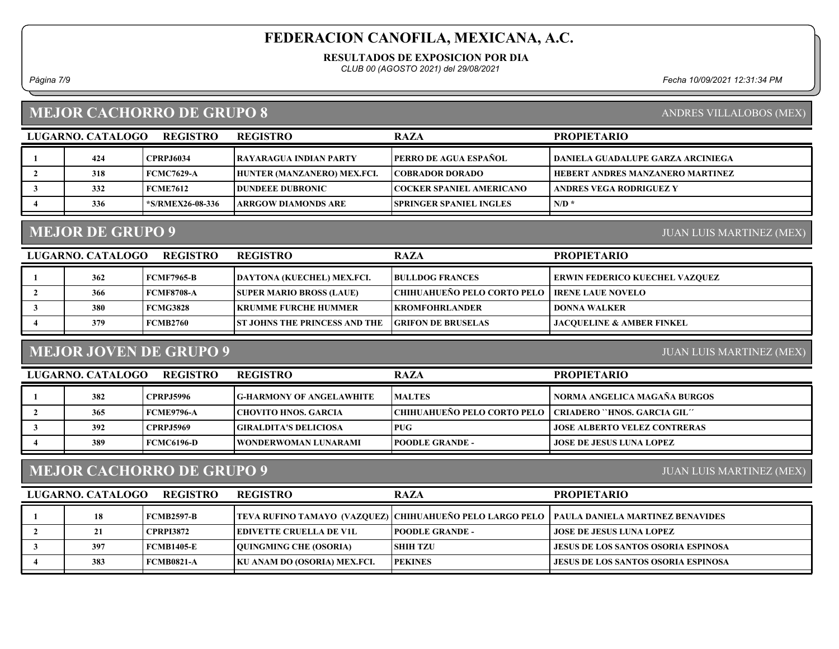RESULTADOS DE EXPOSICION POR DIA

CLUB 00 (AGOSTO 2021) del 29/08/2021

Página 7/9 Fecha 10/09/2021 12:31:34 PM

## MEJOR CACHORRO DE GRUPO 8

|  |  | $\lambda$ $\lambda$ $\lambda$ $\lambda$ |
|--|--|-----------------------------------------|

| LUGARNO, CATALOGO | <b>REGISTRO</b>  | <b>REGISTRO</b>               | <b>RAZA</b>                     | <b>PROPIETARIO</b>                |
|-------------------|------------------|-------------------------------|---------------------------------|-----------------------------------|
| 424               | <b>CPRPJ6034</b> | <b>RAYARAGUA INDIAN PARTY</b> | <b>TPERRO DE AGUA ESPAÑOL</b>   | DANIELA GUADALUPE GARZA ARCINIEGA |
| 318               | FCMC7629-A       | HUNTER (MANZANERO) MEX.FCI.   | <b>COBRADOR DORADO</b>          | HEBERT ANDRES MANZANERO MARTINEZ  |
| 332               | <b>FCME7612</b>  | <b>IDUNDEEE DUBRONIC</b>      | COCKER SPANIEL AMERICANO_       | <b>ANDRES VEGA RODRIGUEZ Y</b>    |
| 336               | *S/RMEX26-08-336 | <b>ARRGOW DIAMONDS ARE</b>    | <b>ISPRINGER SPANIEL INGLES</b> | $N/D$ *                           |
|                   |                  |                               |                                 |                                   |

#### MEJOR DE GRUPO 9

JUAN LUIS MARTINEZ (MEX)

| LUGARNO. CATALOGO | <b>REGISTRO</b>   | <b>REGISTRO</b>                      | <b>RAZA</b>                                            | <b>PROPIETARIO</b>                    |
|-------------------|-------------------|--------------------------------------|--------------------------------------------------------|---------------------------------------|
| 362               | <b>FCMF7965-B</b> | DAYTONA (KUECHEL) MEX.FCI.           | <b>BULLDOG FRANCES</b>                                 | <b>ERWIN FEDERICO KUECHEL VAZOUEZ</b> |
| 366               | <b>FCMF8708-A</b> | <b>SUPER MARIO BROSS (LAUE)</b>      | <b>CHIHUAHUEÑO PELO CORTO PELO   IRENE LAUE NOVELO</b> |                                       |
| 380               | FCMG3828          | KRUMME FURCHE HUMMER                 | <b>EKROMFOHRLANDER</b>                                 | <b>DONNA WALKER</b>                   |
| 379               | FCMB2760          | <b>ST JOHNS THE PRINCESS AND THE</b> | <b>GRIFON DE BRUSELAS</b>                              | <b>JACOUELINE &amp; AMBER FINKEL</b>  |
|                   |                   |                                      |                                                        |                                       |

## MEJOR JOVEN DE GRUPO 9

JUAN LUIS MARTINEZ (MEX)

| LUGARNO. CATALOGO | <b>REGISTRO</b>   | <b>REGISTRO</b>                 | <b>RAZA</b>                                                 | <b>PROPIETARIO</b>                  |
|-------------------|-------------------|---------------------------------|-------------------------------------------------------------|-------------------------------------|
| 382               | <b>CPRP.I5996</b> | <b>G-HARMONY OF ANGELAWHITE</b> | <b>MALTES</b>                                               | NORMA ANGELICA MAGAÑA BURGOS        |
| 365               | FCME9796-A        | <b>CHOVITO HNOS. GARCIA</b>     | CHIHUAHUEÑO PELO CORTO PELO   CRIADERO ``HNOS. GARCIA GIL'' |                                     |
| 392               | <b>CPRPJ5969</b>  | <b>GIRALDITA'S DELICIOSA</b>    | <b>PUG</b>                                                  | <b>JOSE ALBERTO VELEZ CONTRERAS</b> |
| 389               | FCMC6196-D        | <b>TWONDERWOMAN LUNARAMI</b>    | <b>POODLE GRANDE -</b>                                      | <b>JOSE DE JESUS LUNA LOPEZ</b>     |

#### MEJOR CACHORRO DE GRUPO 9

LUGARNO. CATALOGO REGISTRO REGISTRO RAZA

JUAN LUIS MARTINEZ (MEX)

| LUGARNO. CATALOGO | <b>REGISTRO</b>   | <b>REGISTRO</b>               | <b>RAZA</b>             | <b>PROPIETARIO</b>                                                                          |
|-------------------|-------------------|-------------------------------|-------------------------|---------------------------------------------------------------------------------------------|
| 18                | FCMB2597-B        |                               |                         | TEVA RUFINO TAMAYO (VAZQUEZ) CHIHUAHUEÑO PELO LARGO PELO   PAULA DANIELA MARTINEZ BENAVIDES |
|                   | <b>CPRPI3872</b>  | EDIVETTE CRUELLA DE V1L       | <b>IPOODLE GRANDE -</b> | LIOSE DE JESUS LUNA LOPEZ                                                                   |
| 397               | FCMB1405-E        | <b>OUINGMING CHE (OSORIA)</b> | <b>SHIH TZU</b>         | <b>LIESUS DE LOS SANTOS OSORIA ESPINOSA</b>                                                 |
| 383               | <b>FCMB0821-A</b> | KU ANAM DO (OSORIA) MEX.FCI.  | <b>PEKINES</b>          | <b>JESUS DE LOS SANTOS OSORIA ESPINOSA</b>                                                  |
|                   |                   |                               |                         |                                                                                             |

#### ANDRES VILLALOBOS (MEX)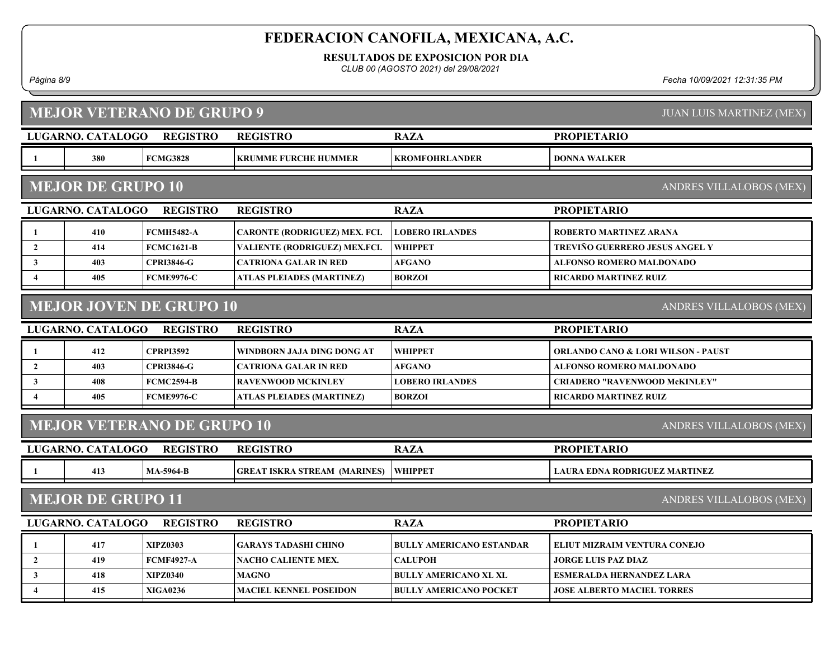RESULTADOS DE EXPOSICION POR DIA

CLUB 00 (AGOSTO 2021) del 29/08/2021

Página 8/9 Fecha 10/09/2021 12:31:35 PM

|                                                              | <b>MEJOR VETERANO DE GRUPO 9</b><br><b>JUAN LUIS MARTINEZ (MEX)</b> |                   |                                     |                                 |                                      |  |  |  |  |
|--------------------------------------------------------------|---------------------------------------------------------------------|-------------------|-------------------------------------|---------------------------------|--------------------------------------|--|--|--|--|
|                                                              | LUGARNO. CATALOGO                                                   | <b>REGISTRO</b>   | <b>REGISTRO</b>                     | <b>RAZA</b>                     | <b>PROPIETARIO</b>                   |  |  |  |  |
| - 1                                                          | 380                                                                 | <b>FCMG3828</b>   | <b>KRUMME FURCHE HUMMER</b>         | <b>KROMFOHRLANDER</b>           | <b>DONNA WALKER</b>                  |  |  |  |  |
|                                                              | <b>MEJOR DE GRUPO 10</b><br>ANDRES VILLALOBOS (MEX)                 |                   |                                     |                                 |                                      |  |  |  |  |
|                                                              | LUGARNO. CATALOGO                                                   | <b>REGISTRO</b>   | <b>REGISTRO</b>                     | <b>RAZA</b>                     | <b>PROPIETARIO</b>                   |  |  |  |  |
| -1                                                           | 410                                                                 | <b>FCMH5482-A</b> | CARONTE (RODRIGUEZ) MEX. FCI.       | <b>LOBERO IRLANDES</b>          | <b>ROBERTO MARTINEZ ARANA</b>        |  |  |  |  |
| $\overline{2}$                                               | 414                                                                 | <b>FCMC1621-B</b> | VALIENTE (RODRIGUEZ) MEX.FCI.       | <b>WHIPPET</b>                  | TREVIÑO GUERRERO JESUS ANGEL Y       |  |  |  |  |
| $\mathbf{3}$                                                 | 403                                                                 | <b>CPRI3846-G</b> | <b>CATRIONA GALAR IN RED</b>        | <b>AFGANO</b>                   | ALFONSO ROMERO MALDONADO             |  |  |  |  |
| $\overline{4}$                                               | 405                                                                 | <b>FCME9976-C</b> | ATLAS PLEIADES (MARTINEZ)           | <b>BORZOI</b>                   | RICARDO MARTINEZ RUIZ                |  |  |  |  |
|                                                              | <b>MEJOR JOVEN DE GRUPO 10</b><br>ANDRES VILLALOBOS (MEX)           |                   |                                     |                                 |                                      |  |  |  |  |
|                                                              | LUGARNO. CATALOGO                                                   | <b>REGISTRO</b>   | <b>REGISTRO</b>                     | <b>RAZA</b>                     | <b>PROPIETARIO</b>                   |  |  |  |  |
| -1                                                           | 412                                                                 | <b>CPRPI3592</b>  | WINDBORN JAJA DING DONG AT          | <b>WHIPPET</b>                  | ORLANDO CANO & LORI WILSON - PAUST   |  |  |  |  |
| $\overline{2}$                                               | 403                                                                 | <b>CPRI3846-G</b> | <b>CATRIONA GALAR IN RED</b>        | <b>AFGANO</b>                   | <b>ALFONSO ROMERO MALDONADO</b>      |  |  |  |  |
| $\mathbf{3}$                                                 | 408                                                                 | <b>FCMC2594-B</b> | <b>RAVENWOOD MCKINLEY</b>           | <b>LOBERO IRLANDES</b>          | <b>CRIADERO "RAVENWOOD McKINLEY"</b> |  |  |  |  |
| 4                                                            | 405                                                                 | <b>FCME9976-C</b> | <b>ATLAS PLEIADES (MARTINEZ)</b>    | <b>BORZOI</b>                   | <b>RICARDO MARTINEZ RUIZ</b>         |  |  |  |  |
| <b>MEJOR VETERANO DE GRUPO 10</b><br>ANDRES VILLALOBOS (MEX) |                                                                     |                   |                                     |                                 |                                      |  |  |  |  |
|                                                              | LUGARNO. CATALOGO                                                   | <b>REGISTRO</b>   | <b>REGISTRO</b>                     | <b>RAZA</b>                     | <b>PROPIETARIO</b>                   |  |  |  |  |
| - 1                                                          | 413                                                                 | <b>MA-5964-B</b>  | <b>GREAT ISKRA STREAM (MARINES)</b> | <b>WHIPPET</b>                  | <b>LAURA EDNA RODRIGUEZ MARTINEZ</b> |  |  |  |  |
|                                                              | <b>MEJOR DE GRUPO 11</b><br>ANDRES VILLALOBOS (MEX)                 |                   |                                     |                                 |                                      |  |  |  |  |
|                                                              | LUGARNO. CATALOGO                                                   | <b>REGISTRO</b>   | <b>REGISTRO</b>                     | <b>RAZA</b>                     | <b>PROPIETARIO</b>                   |  |  |  |  |
| -1                                                           | 417                                                                 | <b>XIPZ0303</b>   | <b>GARAYS TADASHI CHINO</b>         | <b>BULLY AMERICANO ESTANDAR</b> | ELIUT MIZRAIM VENTURA CONEJO         |  |  |  |  |
| $\overline{2}$                                               | 419                                                                 | <b>FCMF4927-A</b> | <b>NACHO CALIENTE MEX.</b>          | <b>CALUPOH</b>                  | <b>JORGE LUIS PAZ DIAZ</b>           |  |  |  |  |
| $\mathbf{3}$                                                 | 418                                                                 | <b>XIPZ0340</b>   | <b>MAGNO</b>                        | <b>BULLY AMERICANO XL XL</b>    | <b>ESMERALDA HERNANDEZ LARA</b>      |  |  |  |  |
| $\overline{\mathbf{4}}$                                      | 415                                                                 | <b>XIGA0236</b>   | <b>MACIEL KENNEL POSEIDON</b>       | <b>BULLY AMERICANO POCKET</b>   | <b>JOSE ALBERTO MACIEL TORRES</b>    |  |  |  |  |